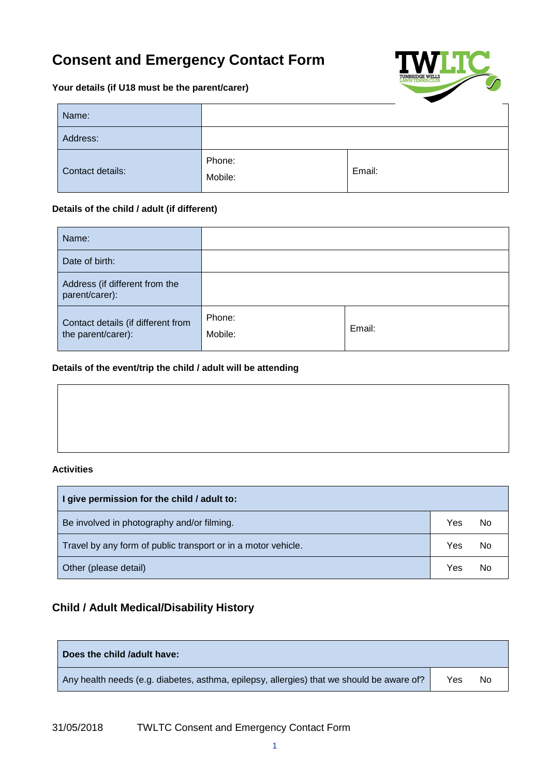# **Consent and Emergency Contact Form**

**Your details (if U18 must be the parent/carer)**



| Name:            |                   |        |
|------------------|-------------------|--------|
| Address:         |                   |        |
| Contact details: | Phone:<br>Mobile: | Email: |

#### **Details of the child / adult (if different)**

| Name:                                                    |                   |        |
|----------------------------------------------------------|-------------------|--------|
| Date of birth:                                           |                   |        |
| Address (if different from the<br>parent/carer):         |                   |        |
| Contact details (if different from<br>the parent/carer): | Phone:<br>Mobile: | Email: |

#### **Details of the event/trip the child / adult will be attending**

#### **Activities**

| I give permission for the child / adult to:                   |     |    |
|---------------------------------------------------------------|-----|----|
| Be involved in photography and/or filming.                    | Yes | No |
| Travel by any form of public transport or in a motor vehicle. |     | No |
| Other (please detail)                                         | Yes | Nο |

### **Child / Adult Medical/Disability History**

| Does the child /adult have:                                                               |     |    |
|-------------------------------------------------------------------------------------------|-----|----|
| Any health needs (e.g. diabetes, asthma, epilepsy, allergies) that we should be aware of? | Yes | No |